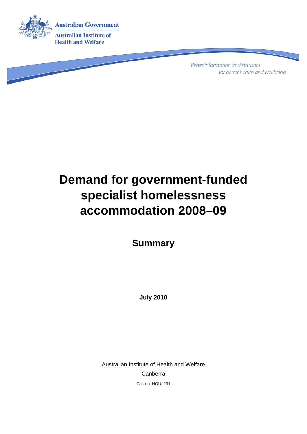

**Better information and statistics** for better health and wellbeing

# **Demand for government-funded specialist homelessness accommodation 2008–09**

**Summary** 

**July 2010** 

Australian Institute of Health and Welfare Canberra Cat. no. HOU. 231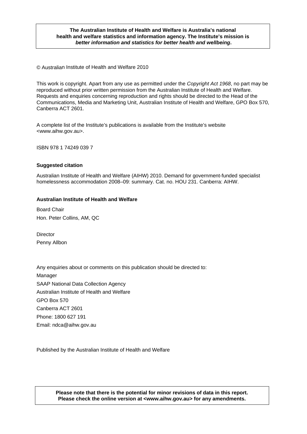#### **The Australian Institute of Health and Welfare is Australia's national health and welfare statistics and information agency. The Institute's mission is**  *better information and statistics for better health and wellbeing***.**

© Australian Institute of Health and Welfare 2010

This work is copyright. Apart from any use as permitted under the *Copyright Act 1968*, no part may be reproduced without prior written permission from the Australian Institute of Health and Welfare. Requests and enquiries concerning reproduction and rights should be directed to the Head of the Communications, Media and Marketing Unit, Australian Institute of Health and Welfare, GPO Box 570, Canberra ACT 2601.

A complete list of the Institute's publications is available from the Institute's website <www.aihw.gov.au>.

ISBN 978 1 74249 039 7

#### **Suggested citation**

Australian Institute of Health and Welfare (AIHW) 2010. Demand for government-funded specialist homelessness accommodation 2008–09: summary. Cat. no. HOU 231. Canberra: AIHW.

#### **Australian Institute of Health and Welfare**

Board Chair Hon. Peter Collins, AM, QC

**Director** Penny Allbon

Any enquiries about or comments on this publication should be directed to: Manager SAAP National Data Collection Agency Australian Institute of Health and Welfare GPO Box 570 Canberra ACT 2601 Phone: 1800 627 191 Email: ndca@aihw.gov.au

Published by the Australian Institute of Health and Welfare

**Please note that there is the potential for minor revisions of data in this report. Please check the online version at <www.aihw.gov.au> for any amendments.**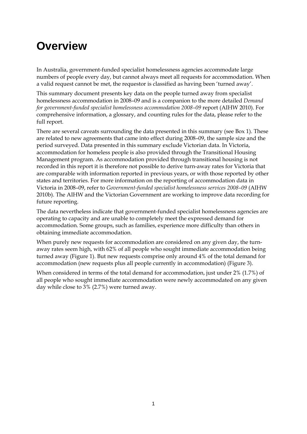## **Overview**

In Australia, government-funded specialist homelessness agencies accommodate large numbers of people every day, but cannot always meet all requests for accommodation. When a valid request cannot be met, the requestor is classified as having been 'turned away'.

This summary document presents key data on the people turned away from specialist homelessness accommodation in 2008–09 and is a companion to the more detailed *Demand for government-funded specialist homelessness accommodation 2008–09 report (AIHW 2010). For* comprehensive information, a glossary, and counting rules for the data, please refer to the full report.

There are several caveats surrounding the data presented in this summary (see Box 1). These are related to new agreements that came into effect during 2008–09, the sample size and the period surveyed. Data presented in this summary exclude Victorian data. In Victoria, accommodation for homeless people is also provided through the Transitional Housing Management program. As accommodation provided through transitional housing is not recorded in this report it is therefore not possible to derive turn-away rates for Victoria that are comparable with information reported in previous years, or with those reported by other states and territories. For more information on the reporting of accommodation data in Victoria in 2008–09, refer to *Government-funded specialist homelessness services 2008–09* (AIHW 2010b). The AIHW and the Victorian Government are working to improve data recording for future reporting.

The data nevertheless indicate that government-funded specialist homelessness agencies are operating to capacity and are unable to completely meet the expressed demand for accommodation. Some groups, such as families, experience more difficulty than others in obtaining immediate accommodation.

When purely new requests for accommodation are considered on any given day, the turnaway rates seem high, with 62% of all people who sought immediate accommodation being turned away (Figure 1). But new requests comprise only around 4% of the total demand for accommodation (new requests plus all people currently in accommodation) (Figure 3).

When considered in terms of the total demand for accommodation, just under 2% (1.7%) of all people who sought immediate accommodation were newly accommodated on any given day while close to 3% (2.7%) were turned away.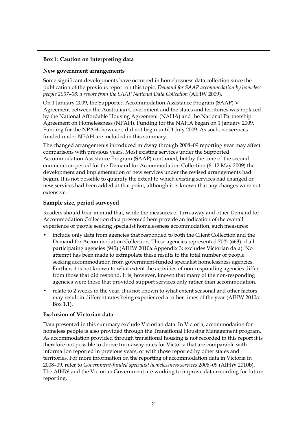#### **Box 1: Caution on interpreting data**

#### **New government arrangements**

Some significant developments have occurred in homelessness data collection since the publication of the previous report on this topic*, Demand for SAAP accommodation by homeless people 2007–08: a report from the SAAP National Data Collection* (AIHW 2009).

On 1 January 2009, the Supported Accommodation Assistance Program (SAAP) V Agreement between the Australian Government and the states and territories was replaced by the National Affordable Housing Agreement (NAHA) and the National Partnership Agreement on Homelessness (NPAH). Funding for the NAHA began on 1 January 2009. Funding for the NPAH, however, did not begin until 1 July 2009. As such, no services funded under NPAH are included in this summary.

The changed arrangements introduced midway through 2008–09 reporting year may affect comparisons with previous years. Most existing services under the Supported Accommodation Assistance Program (SAAP) continued, but by the time of the second enumeration period for the Demand for Accommodation Collection (6–12 May 2009) the development and implementation of new services under the revised arrangements had begun. It is not possible to quantify the extent to which existing services had changed or new services had been added at that point, although it is known that any changes were not extensive.

#### **Sample size, period surveyed**

Readers should bear in mind that, while the measures of turn-away and other Demand for Accommodation Collection data presented here provide an indication of the overall experience of people seeking specialist homelessness accommodation, such measures:

- include only data from agencies that responded to both the Client Collection and the Demand for Accommodation Collection. These agencies represented 70% (663) of all participating agencies (945) (AIHW 2010a:Appendix 3; excludes Victorian data). No attempt has been made to extrapolate these results to the total number of people seeking accommodation from government-funded specialist homelessness agencies. Further, it is not known to what extent the activities of non-responding agencies differ from those that did respond. It is, however, known that many of the non-responding agencies were those that provided support services only rather than accommodation.
- relate to 2 weeks in the year. It is not known to what extent seasonal and other factors may result in different rates being experienced at other times of the year (AIHW 2010a: Box 1.1).

#### **Exclusion of Victorian data**

Data presented in this summary exclude Victorian data. In Victoria, accommodation for homeless people is also provided through the Transitional Housing Management program. As accommodation provided through transitional housing is not recorded in this report it is therefore not possible to derive turn-away rates for Victoria that are comparable with information reported in previous years, or with those reported by other states and territories. For more information on the reporting of accommodation data in Victoria in 2008–09, refer to *Government-funded specialist homelessness services 2008–09* (AIHW 2010b). The AIHW and the Victorian Government are working to improve data recording for future reporting.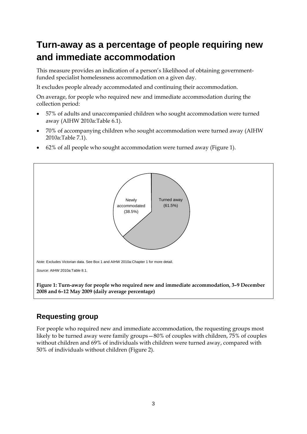## **Turn-away as a percentage of people requiring new and immediate accommodation**

This measure provides an indication of a person's likelihood of obtaining governmentfunded specialist homelessness accommodation on a given day.

It excludes people already accommodated and continuing their accommodation.

On average, for people who required new and immediate accommodation during the collection period:

- 57% of adults and unaccompanied children who sought accommodation were turned away (AIHW 2010a:Table 6.1).
- 70% of accompanying children who sought accommodation were turned away (AIHW 2010a:Table 7.1).
- 62% of all people who sought accommodation were turned away (Figure 1).



### **Requesting group**

For people who required new and immediate accommodation, the requesting groups most likely to be turned away were family groups—80% of couples with children, 75% of couples without children and 69% of individuals with children were turned away, compared with 50% of individuals without children (Figure 2).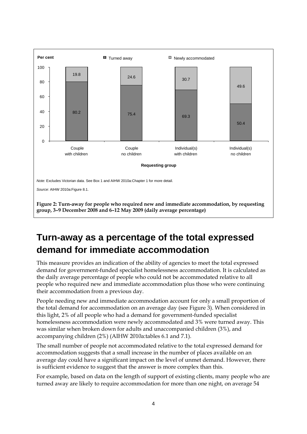

## **Turn-away as a percentage of the total expressed demand for immediate accommodation**

This measure provides an indication of the ability of agencies to meet the total expressed demand for government-funded specialist homelessness accommodation. It is calculated as the daily average percentage of people who could not be accommodated relative to all people who required new and immediate accommodation plus those who were continuing their accommodation from a previous day.

People needing new and immediate accommodation account for only a small proportion of the total demand for accommodation on an average day (see Figure 3). When considered in this light, 2% of all people who had a demand for government-funded specialist homelessness accommodation were newly accommodated and 3% were turned away. This was similar when broken down for adults and unaccompanied children (3%), and accompanying children (2%) (AIHW 2010a:tables 6.1 and 7.1).

The small number of people not accommodated relative to the total expressed demand for accommodation suggests that a small increase in the number of places available on an average day could have a significant impact on the level of unmet demand. However, there is sufficient evidence to suggest that the answer is more complex than this.

For example, based on data on the length of support of existing clients, many people who are turned away are likely to require accommodation for more than one night, on average 54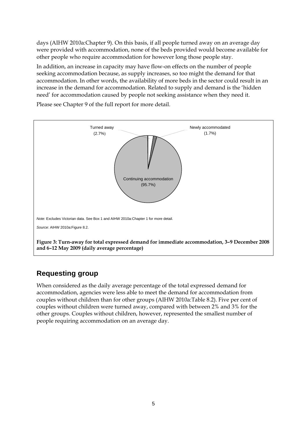days (AIHW 2010a:Chapter 9). On this basis, if all people turned away on an average day were provided with accommodation, none of the beds provided would become available for other people who require accommodation for however long those people stay.

In addition, an increase in capacity may have flow-on effects on the number of people seeking accommodation because, as supply increases, so too might the demand for that accommodation. In other words, the availability of more beds in the sector could result in an increase in the demand for accommodation. Related to supply and demand is the 'hidden need' for accommodation caused by people not seeking assistance when they need it.

Please see Chapter 9 of the full report for more detail.



### **Requesting group**

When considered as the daily average percentage of the total expressed demand for accommodation, agencies were less able to meet the demand for accommodation from couples without children than for other groups (AIHW 2010a:Table 8.2). Five per cent of couples without children were turned away, compared with between 2% and 3% for the other groups. Couples without children, however, represented the smallest number of people requiring accommodation on an average day.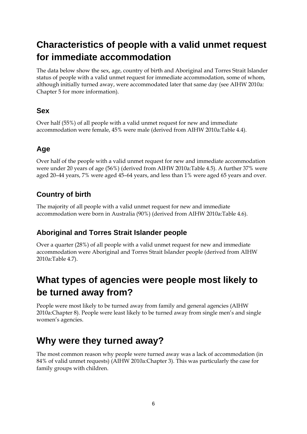## **Characteristics of people with a valid unmet request for immediate accommodation**

The data below show the sex, age, country of birth and Aboriginal and Torres Strait Islander status of people with a valid unmet request for immediate accommodation, some of whom, although initially turned away, were accommodated later that same day (see AIHW 2010a: Chapter 5 for more information).

### **Sex**

Over half (55%) of all people with a valid unmet request for new and immediate accommodation were female, 45% were male (derived from AIHW 2010a:Table 4.4).

### **Age**

Over half of the people with a valid unmet request for new and immediate accommodation were under 20 years of age (56%) (derived from AIHW 2010a:Table 4.5). A further 37% were aged 20–44 years, 7% were aged 45–64 years, and less than 1% were aged 65 years and over.

### **Country of birth**

The majority of all people with a valid unmet request for new and immediate accommodation were born in Australia (90%) (derived from AIHW 2010a:Table 4.6).

### **Aboriginal and Torres Strait Islander people**

Over a quarter (28%) of all people with a valid unmet request for new and immediate accommodation were Aboriginal and Torres Strait Islander people (derived from AIHW 2010a:Table 4.7).

## **What types of agencies were people most likely to be turned away from?**

People were most likely to be turned away from family and general agencies (AIHW 2010a:Chapter 8). People were least likely to be turned away from single men's and single women's agencies.

## **Why were they turned away?**

The most common reason why people were turned away was a lack of accommodation (in 84% of valid unmet requests) (AIHW 2010a:Chapter 3). This was particularly the case for family groups with children.